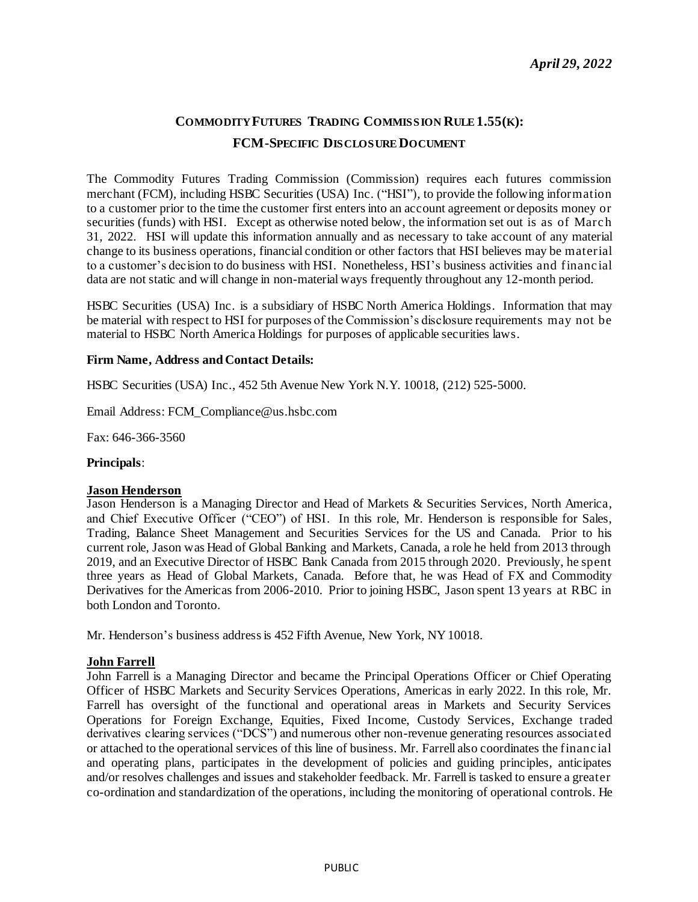# **COMMODITY FUTURES TRADING COMMISSION RULE 1.55(K): FCM-SPECIFIC DISCLOSURE DOCUMENT**

The Commodity Futures Trading Commission (Commission) requires each futures commission merchant (FCM), including HSBC Securities (USA) Inc. ("HSI"), to provide the following information to a customer prior to the time the customer first enters into an account agreement or deposits money or securities (funds) with HSI. Except as otherwise noted below, the information set out is as of March 31, 2022. HSI will update this information annually and as necessary to take account of any material change to its business operations, financial condition or other factors that HSI believes may be material to a customer's decision to do business with HSI. Nonetheless, HSI's business activities and financ ial data are not static and will change in non-material ways frequently throughout any 12-month period.

HSBC Securities (USA) Inc. is a subsidiary of HSBC North America Holdings. Information that may be material with respect to HSI for purposes of the Commission's disclosure requirements may not be material to HSBC North America Holdings for purposes of applicable securities laws.

#### **Firm Name, Address and Contact Details:**

HSBC Securities (USA) Inc., 452 5th Avenue New York N.Y. 10018, (212) 525-5000.

Email Address: FCM\_Compliance@us.hsbc.com

Fax: 646-366-3560

#### **Principals**:

#### **Jason Henderson**

Jason Henderson is a Managing Director and Head of Markets & Securities Services, North America, and Chief Executive Officer ("CEO") of HSI. In this role, Mr. Henderson is responsible for Sales, Trading, Balance Sheet Management and Securities Services for the US and Canada. Prior to his current role, Jason was Head of Global Banking and Markets, Canada, a role he held from 2013 through 2019, and an Executive Director of HSBC Bank Canada from 2015 through 2020. Previously, he spent three years as Head of Global Markets, Canada. Before that, he was Head of FX and Commodity Derivatives for the Americas from 2006-2010. Prior to joining HSBC, Jason spent 13 years at RBC in both London and Toronto.

Mr. Henderson's business address is 452 Fifth Avenue, New York, NY 10018.

#### **John Farrell**

John Farrell is a Managing Director and became the Principal Operations Officer or Chief Operating Officer of HSBC Markets and Security Services Operations, Americas in early 2022. In this role, Mr. Farrell has oversight of the functional and operational areas in Markets and Security Services Operations for Foreign Exchange, Equities, Fixed Income, Custody Services, Exchange traded derivatives clearing services ("DCS") and numerous other non-revenue generating resources associated or attached to the operational services of this line of business. Mr. Farrell also coordinates the financ ial and operating plans, participates in the development of policies and guiding principles, anticipates and/or resolves challenges and issues and stakeholder feedback. Mr. Farrell is tasked to ensure a greater co-ordination and standardization of the operations, including the monitoring of operational controls. He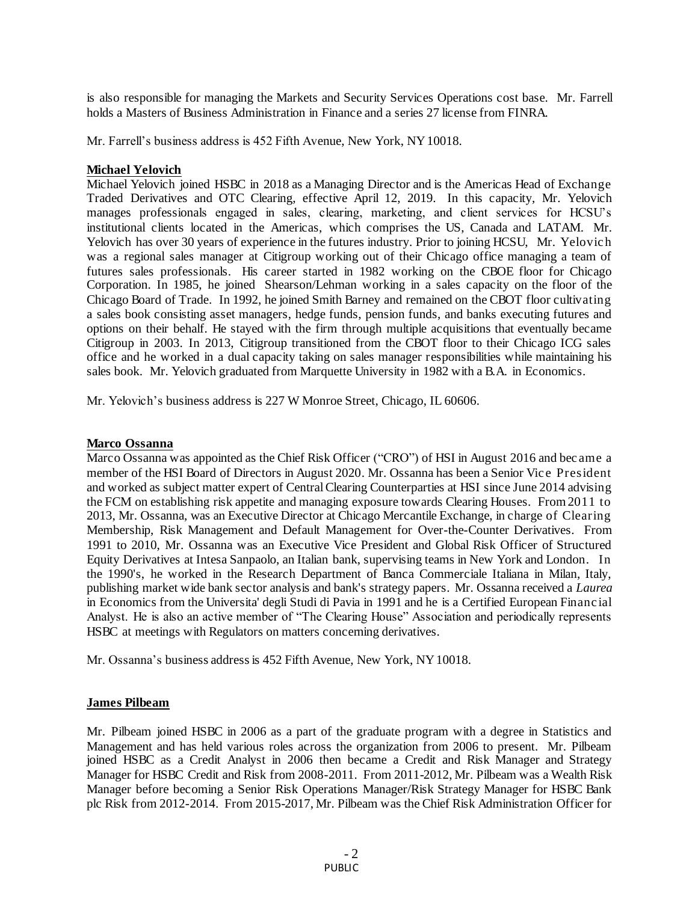is also responsible for managing the Markets and Security Services Operations cost base. Mr. Farrell holds a Masters of Business Administration in Finance and a series 27 license from FINRA.

Mr. Farrell's business address is 452 Fifth Avenue, New York, NY 10018.

## **Michael Yelovich**

Michael Yelovich joined HSBC in 2018 as a Managing Director and is the Americas Head of Exchange Traded Derivatives and OTC Clearing, effective April 12, 2019. In this capacity, Mr. Yelovich manages professionals engaged in sales, clearing, marketing, and client services for HCSU's institutional clients located in the Americas, which comprises the US, Canada and LATAM. Mr. Yelovich has over 30 years of experience in the futures industry. Prior to joining HCSU, Mr. Yelovic h was a regional sales manager at Citigroup working out of their Chicago office managing a team of futures sales professionals. His career started in 1982 working on the CBOE floor for Chicago Corporation. In 1985, he joined Shearson/Lehman working in a sales capacity on the floor of the Chicago Board of Trade. In 1992, he joined Smith Barney and remained on the CBOT floor cultivating a sales book consisting asset managers, hedge funds, pension funds, and banks executing futures and options on their behalf. He stayed with the firm through multiple acquisitions that eventually became Citigroup in 2003. In 2013, Citigroup transitioned from the CBOT floor to their Chicago ICG sales office and he worked in a dual capacity taking on sales manager responsibilities while maintaining his sales book. Mr. Yelovich graduated from Marquette University in 1982 with a B.A. in Economics.

Mr. Yelovich's business address is 227 W Monroe Street, Chicago, IL 60606.

#### **Marco Ossanna**

Marco Ossanna was appointed as the Chief Risk Officer ("CRO") of HSI in August 2016 and bec ame a member of the HSI Board of Directors in August 2020. Mr. Ossanna has been a Senior Vic e President and worked as subject matter expert of Central Clearing Counterparties at HSI since June 2014 advising the FCM on establishing risk appetite and managing exposure towards Clearing Houses. From 2011 to 2013, Mr. Ossanna, was an Executive Director at Chicago Mercantile Exchange, in charge of Clearing Membership, Risk Management and Default Management for Over-the-Counter Derivatives. From 1991 to 2010, Mr. Ossanna was an Executive Vice President and Global Risk Officer of Structured Equity Derivatives at Intesa Sanpaolo, an Italian bank, supervising teams in New York and London. In the 1990's, he worked in the Research Department of Banca Commerciale Italiana in Milan, Italy, publishing market wide bank sector analysis and bank's strategy papers. Mr. Ossanna received a *Laurea* in Economics from the Universita' degli Studi di Pavia in 1991 and he is a Certified European Financ ial Analyst. He is also an active member of "The Clearing House" Association and periodically represents HSBC at meetings with Regulators on matters concerning derivatives.

Mr. Ossanna's business address is 452 Fifth Avenue, New York, NY 10018.

## **James Pilbeam**

Mr. Pilbeam joined HSBC in 2006 as a part of the graduate program with a degree in Statistics and Management and has held various roles across the organization from 2006 to present. Mr. Pilbeam joined HSBC as a Credit Analyst in 2006 then became a Credit and Risk Manager and Strategy Manager for HSBC Credit and Risk from 2008-2011. From 2011-2012, Mr. Pilbeam was a Wealth Risk Manager before becoming a Senior Risk Operations Manager/Risk Strategy Manager for HSBC Bank plc Risk from 2012-2014. From 2015-2017, Mr. Pilbeam was the Chief Risk Administration Officer for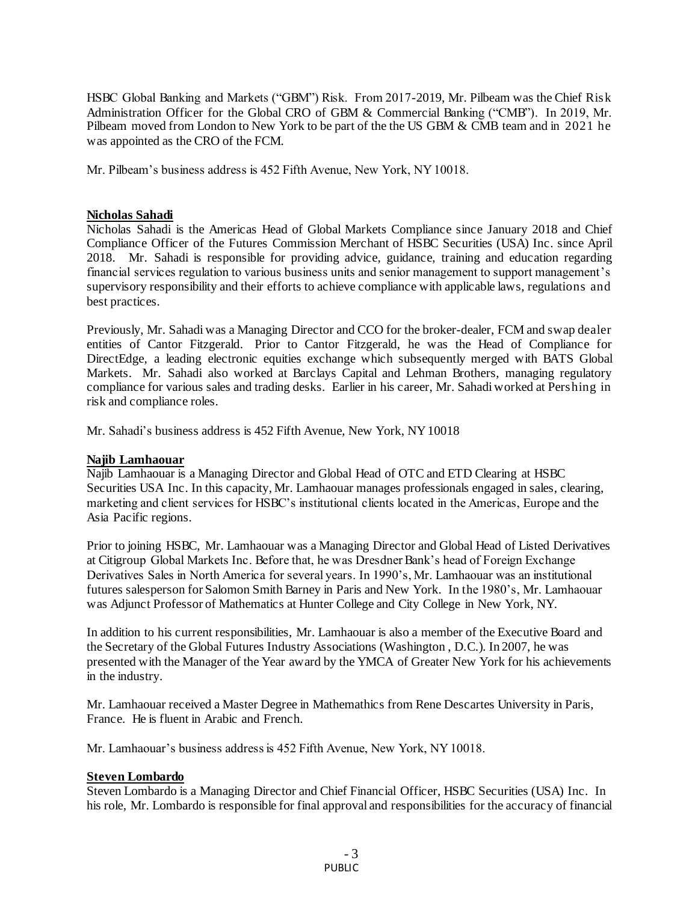HSBC Global Banking and Markets ("GBM") Risk. From 2017-2019, Mr. Pilbeam was the Chief Risk Administration Officer for the Global CRO of GBM & Commercial Banking ("CMB"). In 2019, Mr. Pilbeam moved from London to New York to be part of the the US GBM & CMB team and in 2021 he was appointed as the CRO of the FCM.

Mr. Pilbeam's business address is 452 Fifth Avenue, New York, NY 10018.

#### **Nicholas Sahadi**

Nicholas Sahadi is the Americas Head of Global Markets Compliance since January 2018 and Chief Compliance Officer of the Futures Commission Merchant of HSBC Securities (USA) Inc. since April 2018. Mr. Sahadi is responsible for providing advice, guidance, training and education regarding financial services regulation to various business units and senior management to support management's supervisory responsibility and their efforts to achieve compliance with applicable laws, regulations and best practices.

Previously, Mr. Sahadi was a Managing Director and CCO for the broker-dealer, FCM and swap dealer entities of Cantor Fitzgerald. Prior to Cantor Fitzgerald, he was the Head of Compliance for DirectEdge, a leading electronic equities exchange which subsequently merged with BATS Global Markets. Mr. Sahadi also worked at Barclays Capital and Lehman Brothers, managing regulatory compliance for various sales and trading desks. Earlier in his career, Mr. Sahadi worked at Pershing in risk and compliance roles.

Mr. Sahadi's business address is 452 Fifth Avenue, New York, NY 10018

## **Najib Lamhaouar**

Najib Lamhaouar is a Managing Director and Global Head of OTC and ETD Clearing at HSBC Securities USA Inc. In this capacity, Mr. Lamhaouar manages professionals engaged in sales, clearing, marketing and client services for HSBC's institutional clients located in the Americas, Europe and the Asia Pacific regions.

Prior to joining HSBC, Mr. Lamhaouar was a Managing Director and Global Head of Listed Derivatives at Citigroup Global Markets Inc. Before that, he was Dresdner Bank's head of Foreign Exchange Derivatives Sales in North America for several years. In 1990's, Mr. Lamhaouar was an institutional futures salesperson for Salomon Smith Barney in Paris and New York. In the 1980's, Mr. Lamhaouar was Adjunct Professor of Mathematics at Hunter College and City College in New York, NY.

In addition to his current responsibilities, Mr. Lamhaouar is also a member of the Executive Board and the Secretary of the Global Futures Industry Associations (Washington , D.C.). In 2007, he was presented with the Manager of the Year award by the YMCA of Greater New York for his achievements in the industry.

Mr. Lamhaouar received a Master Degree in Mathemathics from Rene Descartes University in Paris, France. He is fluent in Arabic and French.

Mr. Lamhaouar's business address is 452 Fifth Avenue, New York, NY 10018.

## **Steven Lombardo**

Steven Lombardo is a Managing Director and Chief Financial Officer, HSBC Securities (USA) Inc. In his role, Mr. Lombardo is responsible for final approval and responsibilities for the accuracy of financial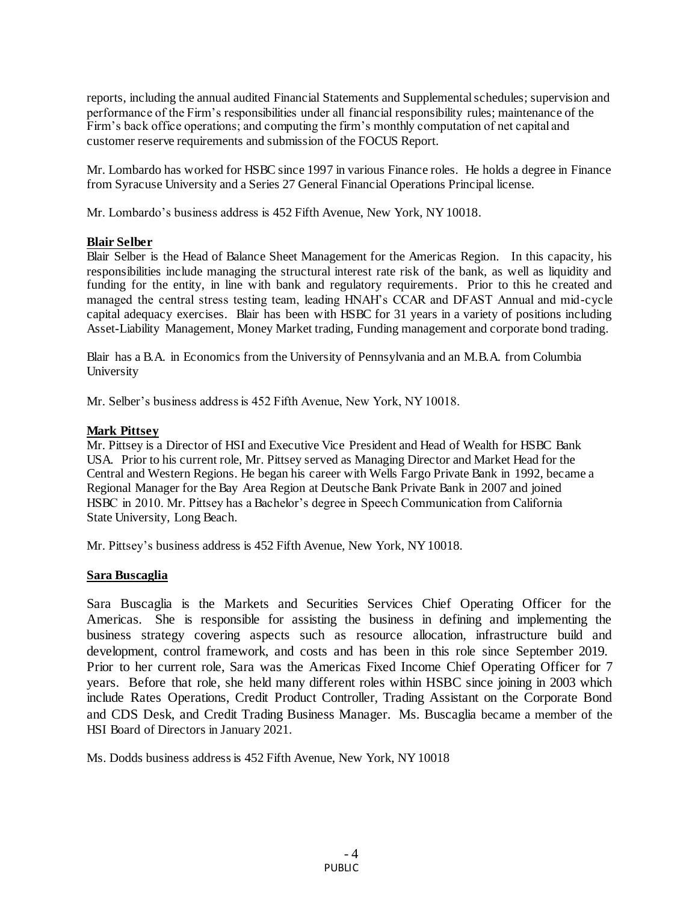reports, including the annual audited Financial Statements and Supplemental schedules; supervision and performance of the Firm's responsibilities under all financial responsibility rules; maintenance of the Firm's back office operations; and computing the firm's monthly computation of net capital and customer reserve requirements and submission of the FOCUS Report.

Mr. Lombardo has worked for HSBC since 1997 in various Finance roles. He holds a degree in Finance from Syracuse University and a Series 27 General Financial Operations Principal license.

Mr. Lombardo's business address is 452 Fifth Avenue, New York, NY 10018.

## **Blair Selber**

Blair Selber is the Head of Balance Sheet Management for the Americas Region. In this capacity, his responsibilities include managing the structural interest rate risk of the bank, as well as liquidity and funding for the entity, in line with bank and regulatory requirements. Prior to this he created and managed the central stress testing team, leading HNAH's CCAR and DFAST Annual and mid-cycle capital adequacy exercises. Blair has been with HSBC for 31 years in a variety of positions including Asset-Liability Management, Money Market trading, Funding management and corporate bond trading.

Blair has a B.A. in Economics from the University of Pennsylvania and an M.B.A. from Columbia University

Mr. Selber's business address is 452 Fifth Avenue, New York, NY 10018.

## **Mark Pittsey**

Mr. Pittsey is a Director of HSI and Executive Vice President and Head of Wealth for HSBC Bank USA. Prior to his current role, Mr. Pittsey served as Managing Director and Market Head for the Central and Western Regions. He began his career with Wells Fargo Private Bank in 1992, became a Regional Manager for the Bay Area Region at Deutsche Bank Private Bank in 2007 and joined HSBC in 2010. Mr. Pittsey has a Bachelor's degree in Speech Communication from California State University, Long Beach.

Mr. Pittsey's business address is 452 Fifth Avenue, New York, NY 10018.

## **Sara Buscaglia**

Sara Buscaglia is the Markets and Securities Services Chief Operating Officer for the Americas. She is responsible for assisting the business in defining and implementing the business strategy covering aspects such as resource allocation, infrastructure build and development, control framework, and costs and has been in this role since September 2019. Prior to her current role, Sara was the Americas Fixed Income Chief Operating Officer for 7 years. Before that role, she held many different roles within HSBC since joining in 2003 which include Rates Operations, Credit Product Controller, Trading Assistant on the Corporate Bond and CDS Desk, and Credit Trading Business Manager. Ms. Buscaglia became a member of the HSI Board of Directors in January 2021.

Ms. Dodds business address is 452 Fifth Avenue, New York, NY 10018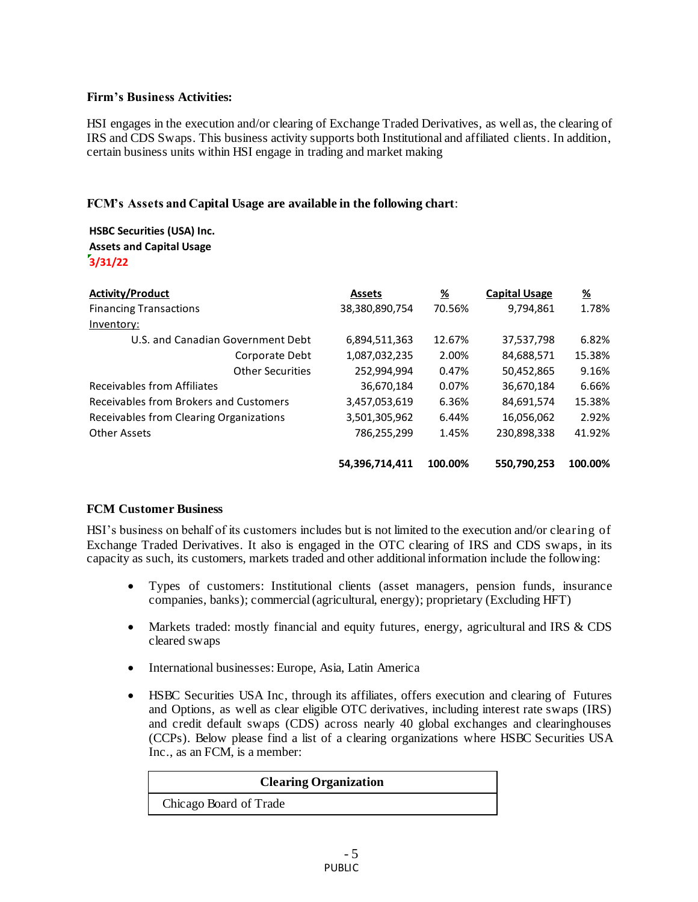# **Firm's Business Activities:**

HSI engages in the execution and/or clearing of Exchange Traded Derivatives, as well as, the clearing of IRS and CDS Swaps. This business activity supports both Institutional and affiliated clients. In addition, certain business units within HSI engage in trading and market making

# **FCM's Assets and Capital Usage are available in the following chart**:

**HSBC Securities (USA) Inc. Assets and Capital Usage 3/31/22**

| <b>Activity/Product</b>                 | <b>Assets</b>  | <u>%</u> | <b>Capital Usage</b> | <u>%</u> |
|-----------------------------------------|----------------|----------|----------------------|----------|
| <b>Financing Transactions</b>           | 38,380,890,754 | 70.56%   | 9,794,861            | 1.78%    |
| Inventory:                              |                |          |                      |          |
| U.S. and Canadian Government Debt       | 6,894,511,363  | 12.67%   | 37,537,798           | 6.82%    |
| Corporate Debt                          | 1,087,032,235  | 2.00%    | 84.688.571           | 15.38%   |
| <b>Other Securities</b>                 | 252,994,994    | 0.47%    | 50,452,865           | 9.16%    |
| Receivables from Affiliates             | 36,670,184     | 0.07%    | 36,670,184           | 6.66%    |
| Receivables from Brokers and Customers  | 3,457,053,619  | 6.36%    | 84,691,574           | 15.38%   |
| Receivables from Clearing Organizations | 3,501,305,962  | 6.44%    | 16,056,062           | 2.92%    |
| Other Assets                            | 786,255,299    | 1.45%    | 230,898,338          | 41.92%   |
|                                         | 54,396,714,411 | 100.00%  | 550.790.253          | 100.00%  |

# **FCM Customer Business**

HSI's business on behalf of its customers includes but is not limited to the execution and/or clearing of Exchange Traded Derivatives. It also is engaged in the OTC clearing of IRS and CDS swaps, in its capacity as such, its customers, markets traded and other additional information include the following:

- Types of customers: Institutional clients (asset managers, pension funds, insurance companies, banks); commercial (agricultural, energy); proprietary (Excluding HFT)
- Markets traded: mostly financial and equity futures, energy, agricultural and IRS & CDS cleared swaps
- International businesses: Europe, Asia, Latin America
- HSBC Securities USA Inc, through its affiliates, offers execution and clearing of Futures and Options, as well as clear eligible OTC derivatives, including interest rate swaps (IRS) and credit default swaps (CDS) across nearly 40 global exchanges and clearinghouses (CCPs). Below please find a list of a clearing organizations where HSBC Securities USA Inc., as an FCM, is a member:

| <b>Clearing Organization</b> |  |  |
|------------------------------|--|--|
| Chicago Board of Trade       |  |  |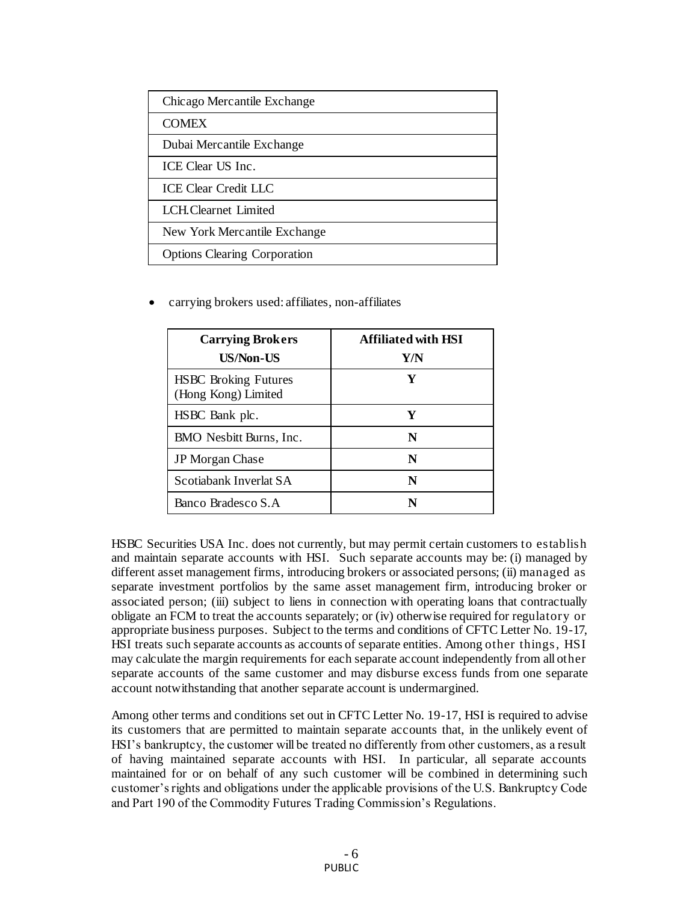| Chicago Mercantile Exchange         |
|-------------------------------------|
| <b>COMEX</b>                        |
| Dubai Mercantile Exchange           |
| ICE Clear US Inc.                   |
| <b>ICE Clear Credit LLC</b>         |
| LCH.Clearnet Limited                |
| New York Mercantile Exchange        |
| <b>Options Clearing Corporation</b> |

carrying brokers used: affiliates, non-affiliates

| <b>Carrying Brokers</b><br>US/Non-US               | <b>Affiliated with HSI</b><br>Y/N |
|----------------------------------------------------|-----------------------------------|
| <b>HSBC</b> Broking Futures<br>(Hong Kong) Limited | Y                                 |
| HSBC Bank plc.                                     | Y                                 |
| BMO Nesbitt Burns, Inc.                            | N                                 |
| <b>JP</b> Morgan Chase                             | N                                 |
| Scotiabank Inverlat SA                             | N                                 |
| Banco Bradesco S.A                                 | N                                 |

HSBC Securities USA Inc. does not currently, but may permit certain customers to establish and maintain separate accounts with HSI. Such separate accounts may be: (i) managed by different asset management firms, introducing brokers or associated persons; (ii) managed as separate investment portfolios by the same asset management firm, introducing broker or associated person; (iii) subject to liens in connection with operating loans that contractually obligate an FCM to treat the accounts separately; or (iv) otherwise required for regulatory or appropriate business purposes. Subject to the terms and conditions of CFTC Letter No. 19-17, HSI treats such separate accounts as accounts of separate entities. Among other things, HSI may calculate the margin requirements for each separate account independently from all other separate accounts of the same customer and may disburse excess funds from one separate account notwithstanding that another separate account is undermargined.

Among other terms and conditions set out in CFTC Letter No. 19-17, HSI is required to advise its customers that are permitted to maintain separate accounts that, in the unlikely event of HSI's bankruptcy, the customer will be treated no differently from other customers, as a result of having maintained separate accounts with HSI. In particular, all separate accounts maintained for or on behalf of any such customer will be combined in determining such customer's rights and obligations under the applicable provisions of the U.S. Bankruptcy Code and Part 190 of the Commodity Futures Trading Commission's Regulations.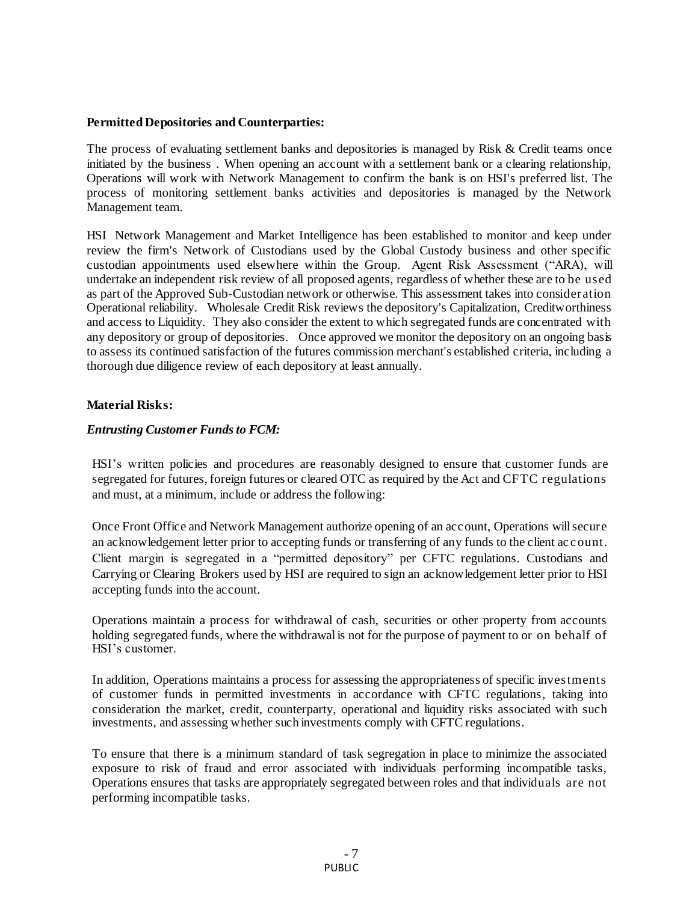## **Permitted Depositories and Counterparties:**

The process of evaluating settlement banks and depositories is managed by Risk & Credit teams once initiated by the business . When opening an account with a settlement bank or a clearing relationship, Operations will work with Network Management to confirm the bank is on HSI's preferred list. The process of monitoring settlement banks activities and depositories is managed by the Network Management team.

HSI Network Management and Market Intelligence has been established to monitor and keep under review the firm's Network of Custodians used by the Global Custody business and other specific custodian appointments used elsewhere within the Group. Agent Risk Assessment ("ARA), will undertake an independent risk review of all proposed agents, regardless of whether these are to be used as part of the Approved Sub-Custodian network or otherwise. This assessment takes into consideration Operational reliability. Wholesale Credit Risk reviews the depository's Capitalization, Creditworthiness and access to Liquidity. They also consider the extent to which segregated funds are concentrated with any depository or group of depositories. Once approved we monitor the depository on an ongoing basis to assess its continued satisfaction of the futures commission merchant's established criteria, including a thorough due diligence review of each depository at least annually.

# **Material Risks:**

# *Entrusting Customer Funds to FCM:*

HSI's written policies and procedures are reasonably designed to ensure that customer funds are segregated for futures, foreign futures or cleared OTC as required by the Act and CFTC regulations and must, at a minimum, include or address the following:

Once Front Office and Network Management authorize opening of an account, Operations will secure an acknowledgement letter prior to accepting funds or transferring of any funds to the client ac c ount. Client margin is segregated in a "permitted depository" per CFTC regulations. Custodians and Carrying or Clearing Brokers used by HSI are required to sign an acknowledgement letter prior to HSI accepting funds into the account.

Operations maintain a process for withdrawal of cash, securities or other property from accounts holding segregated funds, where the withdrawal is not for the purpose of payment to or on behalf of HSI's customer.

In addition, Operations maintains a process for assessing the appropriateness of specific investments of customer funds in permitted investments in accordance with CFTC regulations, taking into consideration the market, credit, counterparty, operational and liquidity risks associated with such investments, and assessing whether such investments comply with CFTC regulations.

To ensure that there is a minimum standard of task segregation in place to minimize the associated exposure to risk of fraud and error associated with individuals performing incompatible tasks, Operations ensures that tasks are appropriately segregated between roles and that individuals are not performing incompatible tasks.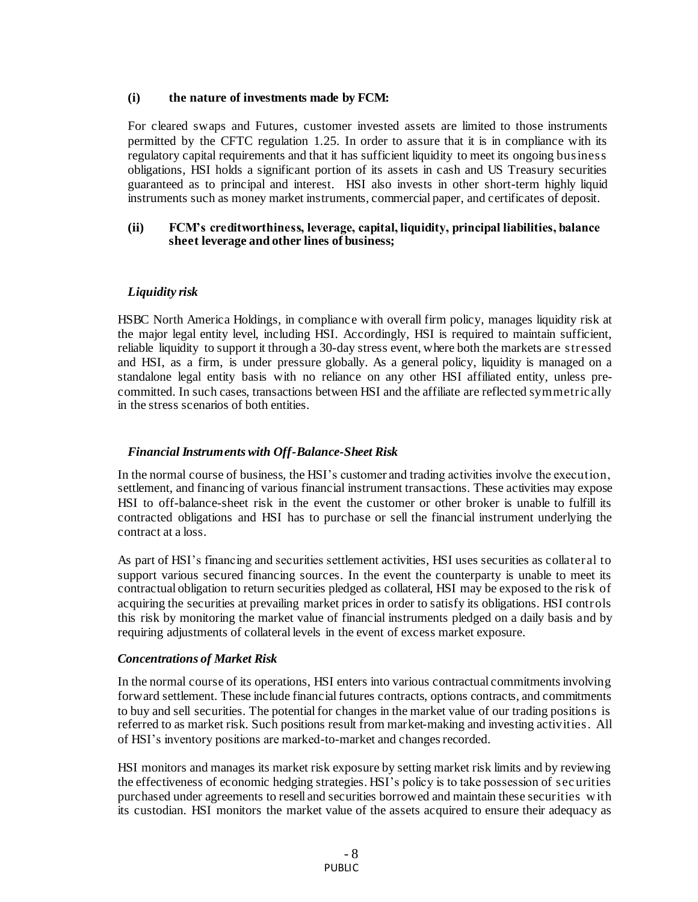#### **(i) the nature of investments made by FCM:**

For cleared swaps and Futures, customer invested assets are limited to those instruments permitted by the CFTC regulation 1.25. In order to assure that it is in compliance with its regulatory capital requirements and that it has sufficient liquidity to meet its ongoing business obligations, HSI holds a significant portion of its assets in cash and US Treasury securities guaranteed as to principal and interest. HSI also invests in other short-term highly liquid instruments such as money market instruments, commercial paper, and certificates of deposit.

#### **(ii) FCM's creditworthiness, leverage, capital, liquidity, principal liabilities, balance sheet leverage and other lines of business;**

# *Liquidity risk*

HSBC North America Holdings, in compliance with overall firm policy, manages liquidity risk at the major legal entity level, including HSI. Accordingly, HSI is required to maintain sufficient, reliable liquidity to support it through a 30-day stress event, where both the markets are stressed and HSI, as a firm, is under pressure globally. As a general policy, liquidity is managed on a standalone legal entity basis with no reliance on any other HSI affiliated entity, unless precommitted. In such cases, transactions between HSI and the affiliate are reflected symmetric ally in the stress scenarios of both entities.

## *Financial Instruments with Off-Balance-Sheet Risk*

In the normal course of business, the HSI's customer and trading activities involve the execution, settlement, and financing of various financial instrument transactions. These activities may expose HSI to off-balance-sheet risk in the event the customer or other broker is unable to fulfill its contracted obligations and HSI has to purchase or sell the financial instrument underlying the contract at a loss.

As part of HSI's financing and securities settlement activities, HSI uses securities as collateral to support various secured financing sources. In the event the counterparty is unable to meet its contractual obligation to return securities pledged as collateral, HSI may be exposed to the risk of acquiring the securities at prevailing market prices in order to satisfy its obligations. HSI controls this risk by monitoring the market value of financial instruments pledged on a daily basis and by requiring adjustments of collateral levels in the event of excess market exposure.

## *Concentrations of Market Risk*

In the normal course of its operations, HSI enters into various contractual commitments involving forward settlement. These include financial futures contracts, options contracts, and commitments to buy and sell securities. The potential for changes in the market value of our trading positions is referred to as market risk. Such positions result from market-making and investing activities. All of HSI's inventory positions are marked-to-market and changes recorded.

HSI monitors and manages its market risk exposure by setting market risk limits and by reviewing the effectiveness of economic hedging strategies. HSI's policy is to take possession of sec urities purchased under agreements to resell and securities borrowed and maintain these securities w ith its custodian. HSI monitors the market value of the assets acquired to ensure their adequacy as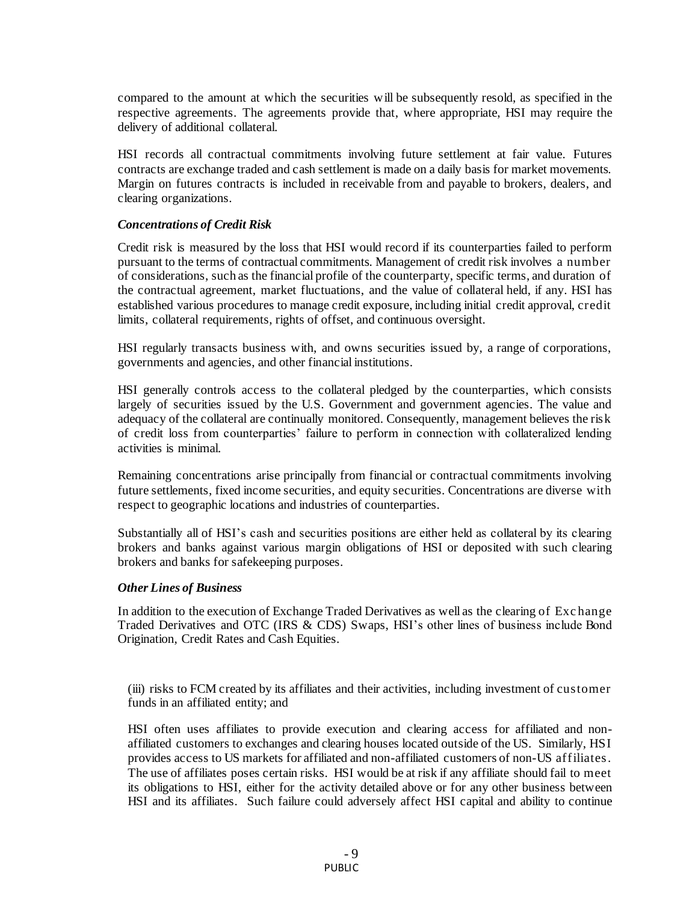compared to the amount at which the securities will be subsequently resold, as specified in the respective agreements. The agreements provide that, where appropriate, HSI may require the delivery of additional collateral.

HSI records all contractual commitments involving future settlement at fair value. Futures contracts are exchange traded and cash settlement is made on a daily basis for market movements. Margin on futures contracts is included in receivable from and payable to brokers, dealers, and clearing organizations.

#### *Concentrations of Credit Risk*

Credit risk is measured by the loss that HSI would record if its counterparties failed to perform pursuant to the terms of contractual commitments. Management of credit risk involves a number of considerations, such as the financial profile of the counterparty, specific terms, and duration of the contractual agreement, market fluctuations, and the value of collateral held, if any. HSI has established various procedures to manage credit exposure, including initial credit approval, credit limits, collateral requirements, rights of offset, and continuous oversight.

HSI regularly transacts business with, and owns securities issued by, a range of corporations, governments and agencies, and other financial institutions.

HSI generally controls access to the collateral pledged by the counterparties, which consists largely of securities issued by the U.S. Government and government agencies. The value and adequacy of the collateral are continually monitored. Consequently, management believes the risk of credit loss from counterparties' failure to perform in connection with collateralized lending activities is minimal.

Remaining concentrations arise principally from financial or contractual commitments involving future settlements, fixed income securities, and equity securities. Concentrations are diverse with respect to geographic locations and industries of counterparties.

Substantially all of HSI's cash and securities positions are either held as collateral by its clearing brokers and banks against various margin obligations of HSI or deposited with such clearing brokers and banks for safekeeping purposes.

#### *Other Lines of Business*

In addition to the execution of Exchange Traded Derivatives as well as the clearing of Exc hange Traded Derivatives and OTC (IRS & CDS) Swaps, HSI's other lines of business include Bond Origination, Credit Rates and Cash Equities.

(iii) risks to FCM created by its affiliates and their activities, including investment of customer funds in an affiliated entity; and

HSI often uses affiliates to provide execution and clearing access for affiliated and nonaffiliated customers to exchanges and clearing houses located outside of the US. Similarly, HSI provides access to US markets for affiliated and non-affiliated customers of non-US affiliates. The use of affiliates poses certain risks. HSI would be at risk if any affiliate should fail to meet its obligations to HSI, either for the activity detailed above or for any other business between HSI and its affiliates. Such failure could adversely affect HSI capital and ability to continue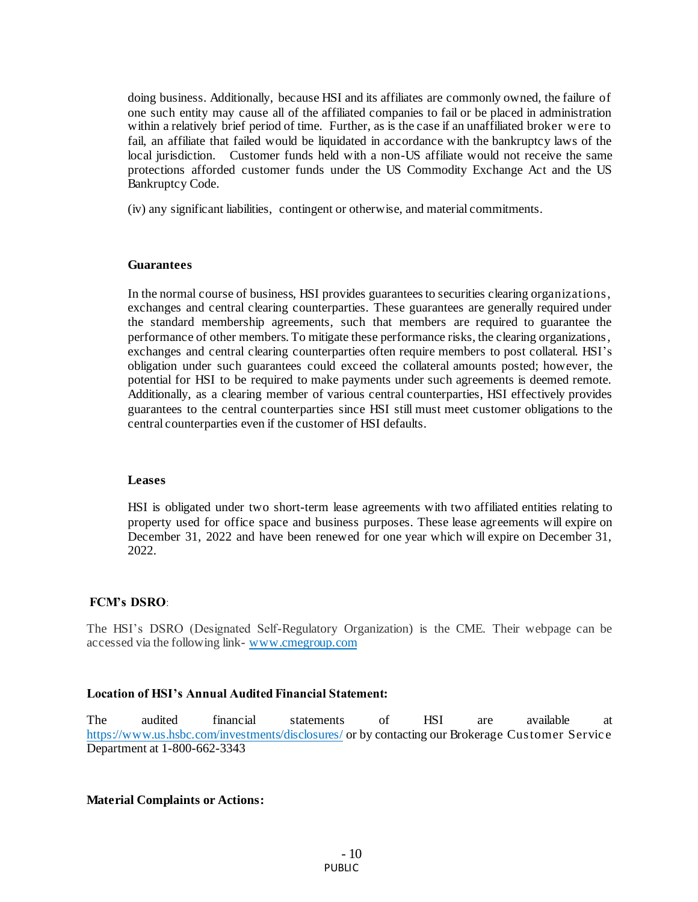doing business. Additionally, because HSI and its affiliates are commonly owned, the failure of one such entity may cause all of the affiliated companies to fail or be placed in administration within a relatively brief period of time. Further, as is the case if an unaffiliated broker w ere to fail, an affiliate that failed would be liquidated in accordance with the bankruptcy laws of the local jurisdiction. Customer funds held with a non-US affiliate would not receive the same protections afforded customer funds under the US Commodity Exchange Act and the US Bankruptcy Code.

(iv) any significant liabilities, contingent or otherwise, and material commitments.

#### **Guarantees**

In the normal course of business, HSI provides guarantees to securities clearing organizations, exchanges and central clearing counterparties. These guarantees are generally required under the standard membership agreements, such that members are required to guarantee the performance of other members. To mitigate these performance risks, the clearing organizations, exchanges and central clearing counterparties often require members to post collateral. HSI's obligation under such guarantees could exceed the collateral amounts posted; however, the potential for HSI to be required to make payments under such agreements is deemed remote. Additionally, as a clearing member of various central counterparties, HSI effectively provides guarantees to the central counterparties since HSI still must meet customer obligations to the central counterparties even if the customer of HSI defaults.

#### **Leases**

HSI is obligated under two short-term lease agreements with two affiliated entities relating to property used for office space and business purposes. These lease agreements will expire on December 31, 2022 and have been renewed for one year which will expire on December 31, 2022.

#### **FCM's DSRO**:

The HSI's DSRO (Designated Self-Regulatory Organization) is the CME. Their webpage can be accessed via the following link- [www.cmegroup.com](http://www.cmegroup.com/)

#### **Location of HSI's Annual Audited Financial Statement:**

The audited financial statements of HSI are available at <https://www.us.hsbc.com/investments/disclosures/> or by contacting our Brokerage Customer Service Department at 1-800-662-3343

#### **Material Complaints or Actions:**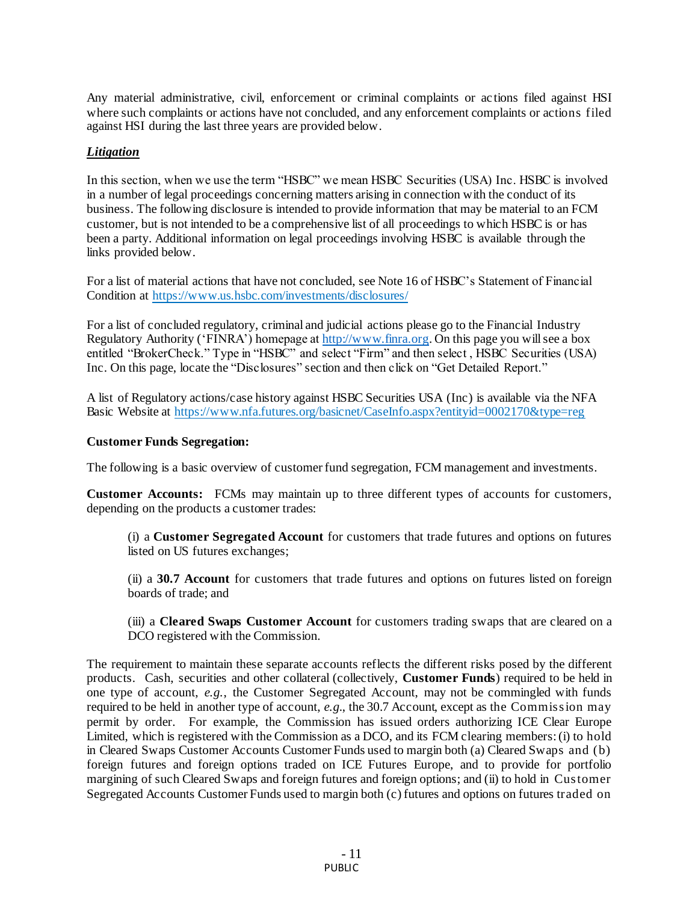Any material administrative, civil, enforcement or criminal complaints or ac tions filed against HSI where such complaints or actions have not concluded, and any enforcement complaints or actions filed against HSI during the last three years are provided below.

## *Litigation*

In this section, when we use the term "HSBC" we mean HSBC Securities (USA) Inc. HSBC is involved in a number of legal proceedings concerning matters arising in connection with the conduct of its business. The following disclosure is intended to provide information that may be material to an FCM customer, but is not intended to be a comprehensive list of all proceedings to which HSBC is or has been a party. Additional information on legal proceedings involving HSBC is available through the links provided below.

For a list of material actions that have not concluded, see Note 16 of HSBC's Statement of Financial Condition at <https://www.us.hsbc.com/investments/disclosures/>

For a list of concluded regulatory, criminal and judicial actions please go to the Financial Industry Regulatory Authority ('FINRA') homepage a[t http://www.finra.org](http://www.finra.org/). On this page you will see a box entitled "BrokerCheck." Type in "HSBC" and select "Firm" and then select , HSBC Securities (USA) Inc. On this page, locate the "Disclosures" section and then click on "Get Detailed Report."

A list of Regulatory actions/case history against HSBC Securities USA (Inc) is available via the NFA Basic Website at<https://www.nfa.futures.org/basicnet/CaseInfo.aspx?entityid=0002170&type=reg>

#### **Customer Funds Segregation:**

The following is a basic overview of customer fund segregation, FCM management and investments.

**Customer Accounts:** FCMs may maintain up to three different types of accounts for customers, depending on the products a customer trades:

(i) a **Customer Segregated Account** for customers that trade futures and options on futures listed on US futures exchanges;

(ii) a **30.7 Account** for customers that trade futures and options on futures listed on foreign boards of trade; and

(iii) a **Cleared Swaps Customer Account** for customers trading swaps that are cleared on a DCO registered with the Commission.

The requirement to maintain these separate accounts reflects the different risks posed by the different products. Cash, securities and other collateral (collectively, **Customer Funds**) required to be held in one type of account, *e.g.*, the Customer Segregated Account, may not be commingled with funds required to be held in another type of account, *e.g.*, the 30.7 Account, except as the Commission may permit by order. For example, the Commission has issued orders authorizing ICE Clear Europe Limited, which is registered with the Commission as a DCO, and its FCM clearing members: (i) to hold in Cleared Swaps Customer Accounts Customer Funds used to margin both (a) Cleared Swaps and (b) foreign futures and foreign options traded on ICE Futures Europe, and to provide for portfolio margining of such Cleared Swaps and foreign futures and foreign options; and (ii) to hold in Customer Segregated Accounts Customer Funds used to margin both (c) futures and options on futures traded on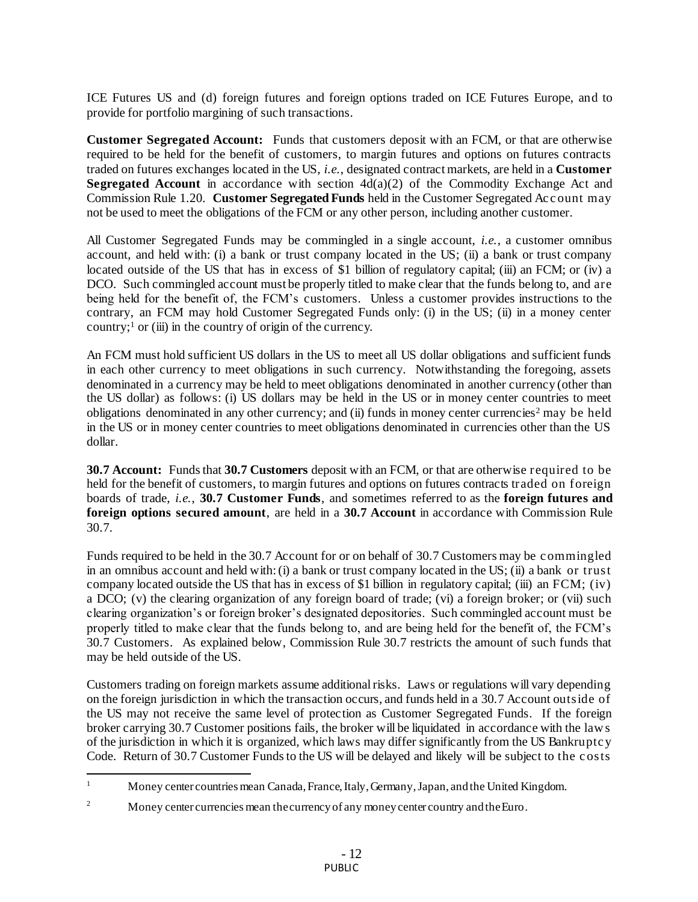ICE Futures US and (d) foreign futures and foreign options traded on ICE Futures Europe, and to provide for portfolio margining of such transactions.

**Customer Segregated Account:** Funds that customers deposit with an FCM, or that are otherwise required to be held for the benefit of customers, to margin futures and options on futures contracts traded on futures exchanges located in the US, *i.e.*, designated contract markets, are held in a **Customer Segregated Account** in accordance with section  $4d(a)(2)$  of the Commodity Exchange Act and Commission Rule 1.20. **Customer Segregated Funds** held in the Customer Segregated Account may not be used to meet the obligations of the FCM or any other person, including another customer.

All Customer Segregated Funds may be commingled in a single account, *i.e.*, a customer omnibus account, and held with: (i) a bank or trust company located in the US; (ii) a bank or trust company located outside of the US that has in excess of \$1 billion of regulatory capital; (iii) an FCM; or (iv) a DCO. Such commingled account must be properly titled to make clear that the funds belong to, and are being held for the benefit of, the FCM's customers. Unless a customer provides instructions to the contrary, an FCM may hold Customer Segregated Funds only: (i) in the US; (ii) in a money center country;<sup>1</sup> or (iii) in the country of origin of the currency.

An FCM must hold sufficient US dollars in the US to meet all US dollar obligations and sufficient funds in each other currency to meet obligations in such currency. Notwithstanding the foregoing, assets denominated in a currency may be held to meet obligations denominated in another currency (other than the US dollar) as follows: (i) US dollars may be held in the US or in money center countries to meet obligations denominated in any other currency; and (ii) funds in money center currencies<sup>2</sup> may be held in the US or in money center countries to meet obligations denominated in currencies other than the US dollar.

**30.7 Account:** Funds that **30.7 Customers** deposit with an FCM, or that are otherwise required to be held for the benefit of customers, to margin futures and options on futures contracts traded on foreign boards of trade, *i.e.*, **30.7 Customer Funds**, and sometimes referred to as the **foreign futures and foreign options secured amount**, are held in a **30.7 Account** in accordance with Commission Rule 30.7.

Funds required to be held in the 30.7 Account for or on behalf of 30.7 Customers may be c ommingled in an omnibus account and held with: (i) a bank or trust company located in the US; (ii) a bank or trust company located outside the US that has in excess of \$1 billion in regulatory capital; (iii) an  $FCM$ ; (iv) a DCO; (v) the clearing organization of any foreign board of trade; (vi) a foreign broker; or (vii) such clearing organization's or foreign broker's designated depositories. Such commingled account must be properly titled to make clear that the funds belong to, and are being held for the benefit of, the FCM's 30.7 Customers. As explained below, Commission Rule 30.7 restricts the amount of such funds that may be held outside of the US.

Customers trading on foreign markets assume additional risks. Laws or regulations will vary depending on the foreign jurisdiction in which the transaction occurs, and funds held in a 30.7 Account outside of the US may not receive the same level of protection as Customer Segregated Funds. If the foreign broker carrying 30.7 Customer positions fails, the broker will be liquidated in accordance with the law s of the jurisdiction in which it is organized, which laws may differ significantly from the US Bankruptc y Code. Return of 30.7 Customer Funds to the US will be delayed and likely will be subject to the c osts

 $\mathbf{1}$ <sup>1</sup> Money center countries mean Canada, France, Italy, Germany, Japan, and the United Kingdom.

<sup>&</sup>lt;sup>2</sup> Money center currencies mean the currency of any money center country and the Euro.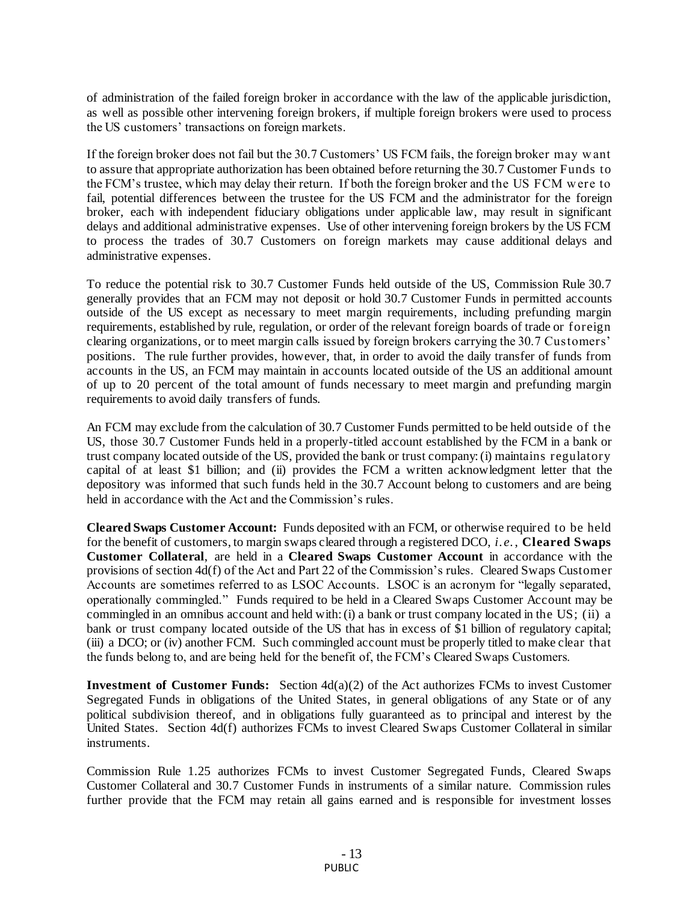of administration of the failed foreign broker in accordance with the law of the applicable jurisdiction, as well as possible other intervening foreign brokers, if multiple foreign brokers were used to process the US customers' transactions on foreign markets.

If the foreign broker does not fail but the 30.7 Customers' US FCM fails, the foreign broker may w ant to assure that appropriate authorization has been obtained before returning the 30.7 Customer Funds to the FCM's trustee, which may delay their return. If both the foreign broker and the US FCM w ere to fail, potential differences between the trustee for the US FCM and the administrator for the foreign broker, each with independent fiduciary obligations under applicable law, may result in significant delays and additional administrative expenses. Use of other intervening foreign brokers by the US FCM to process the trades of 30.7 Customers on foreign markets may cause additional delays and administrative expenses.

To reduce the potential risk to 30.7 Customer Funds held outside of the US, Commission Rule 30.7 generally provides that an FCM may not deposit or hold 30.7 Customer Funds in permitted accounts outside of the US except as necessary to meet margin requirements, including prefunding margin requirements, established by rule, regulation, or order of the relevant foreign boards of trade or foreign clearing organizations, or to meet margin calls issued by foreign brokers carrying the 30.7 Customers' positions. The rule further provides, however, that, in order to avoid the daily transfer of funds from accounts in the US, an FCM may maintain in accounts located outside of the US an additional amount of up to 20 percent of the total amount of funds necessary to meet margin and prefunding margin requirements to avoid daily transfers of funds.

An FCM may exclude from the calculation of 30.7 Customer Funds permitted to be held outside of the US, those 30.7 Customer Funds held in a properly-titled account established by the FCM in a bank or trust company located outside of the US, provided the bank or trust company: (i) maintains regulatory capital of at least \$1 billion; and (ii) provides the FCM a written acknowledgment letter that the depository was informed that such funds held in the 30.7 Account belong to customers and are being held in accordance with the Act and the Commission's rules.

**Cleared Swaps Customer Account:** Funds deposited with an FCM, or otherwise required to be held for the benefit of customers, to margin swaps cleared through a registered DCO, *i.e.*, **Cleared Swaps Customer Collateral**, are held in a **Cleared Swaps Customer Account** in accordance with the provisions of section 4d(f) of the Act and Part 22 of the Commission's rules. Cleared Swaps Customer Accounts are sometimes referred to as LSOC Accounts. LSOC is an acronym for "legally separated, operationally commingled." Funds required to be held in a Cleared Swaps Customer Account may be commingled in an omnibus account and held with: (i) a bank or trust company located in the US; (ii) a bank or trust company located outside of the US that has in excess of \$1 billion of regulatory capital; (iii) a DCO; or (iv) another FCM. Such commingled account must be properly titled to make clear that the funds belong to, and are being held for the benefit of, the FCM's Cleared Swaps Customers.

**Investment of Customer Funds:** Section 4d(a)(2) of the Act authorizes FCMs to invest Customer Segregated Funds in obligations of the United States, in general obligations of any State or of any political subdivision thereof, and in obligations fully guaranteed as to principal and interest by the United States. Section 4d(f) authorizes FCMs to invest Cleared Swaps Customer Collateral in similar instruments.

Commission Rule 1.25 authorizes FCMs to invest Customer Segregated Funds, Cleared Swaps Customer Collateral and 30.7 Customer Funds in instruments of a similar nature. Commission rules further provide that the FCM may retain all gains earned and is responsible for investment losses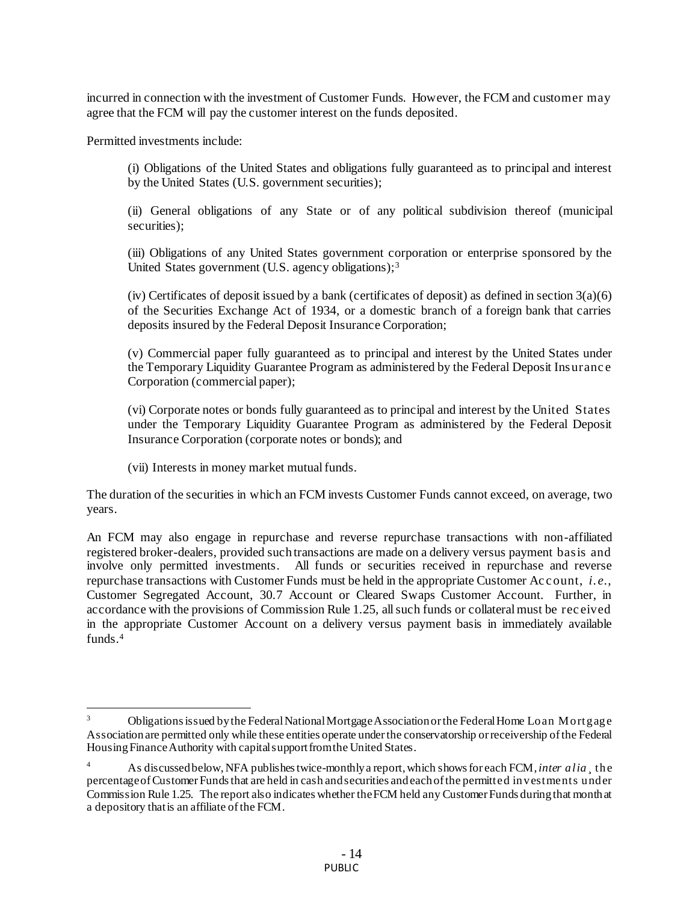incurred in connection with the investment of Customer Funds. However, the FCM and customer may agree that the FCM will pay the customer interest on the funds deposited.

Permitted investments include:

.

(i) Obligations of the United States and obligations fully guaranteed as to principal and interest by the United States (U.S. government securities);

(ii) General obligations of any State or of any political subdivision thereof (municipal securities):

(iii) Obligations of any United States government corporation or enterprise sponsored by the United States government (U.S. agency obligations):<sup>3</sup>

(iv) Certificates of deposit issued by a bank (certificates of deposit) as defined in section  $3(a)(6)$ of the Securities Exchange Act of 1934, or a domestic branch of a foreign bank that carries deposits insured by the Federal Deposit Insurance Corporation;

(v) Commercial paper fully guaranteed as to principal and interest by the United States under the Temporary Liquidity Guarantee Program as administered by the Federal Deposit Insuranc e Corporation (commercial paper);

(vi) Corporate notes or bonds fully guaranteed as to principal and interest by the United States under the Temporary Liquidity Guarantee Program as administered by the Federal Deposit Insurance Corporation (corporate notes or bonds); and

(vii) Interests in money market mutual funds.

The duration of the securities in which an FCM invests Customer Funds cannot exceed, on average, two years.

An FCM may also engage in repurchase and reverse repurchase transactions with non-affiliated registered broker-dealers, provided such transactions are made on a delivery versus payment basis and involve only permitted investments. All funds or securities received in repurchase and reverse repurchase transactions with Customer Funds must be held in the appropriate Customer Ac c ount, *i.e.*, Customer Segregated Account, 30.7 Account or Cleared Swaps Customer Account. Further, in accordance with the provisions of Commission Rule 1.25, all such funds or collateral must be rec eived in the appropriate Customer Account on a delivery versus payment basis in immediately available funds.<sup>4</sup>

<sup>&</sup>lt;sup>3</sup> Obligations issued by the Federal National Mortgage Association or the Federal Home Loan Mortgage Association are permitted only while these entities operate under the conservatorship or receivership of the Federal Housing Finance Authority with capital support from the United States.

<sup>&</sup>lt;sup>4</sup> As discussed below, NFA publishes twice-monthly a report, which shows for each FCM, *inter alia* the percentage of Customer Funds that are held in cash and securities and each of the permitted investments under Commission Rule 1.25. The report also indicates whether the FCM held any Customer Funds during that month at a depository that is an affiliate of the FCM.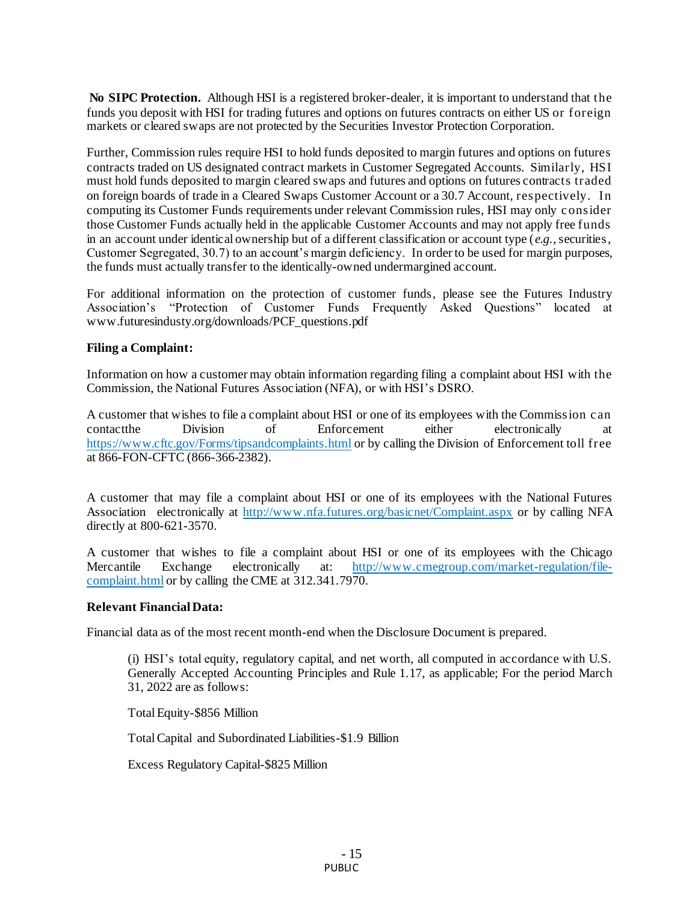**No SIPC Protection.** Although HSI is a registered broker-dealer, it is important to understand that the funds you deposit with HSI for trading futures and options on futures contracts on either US or foreign markets or cleared swaps are not protected by the Securities Investor Protection Corporation.

Further, Commission rules require HSI to hold funds deposited to margin futures and options on futures contracts traded on US designated contract markets in Customer Segregated Accounts. Similarly, HSI must hold funds deposited to margin cleared swaps and futures and options on futures contracts traded on foreign boards of trade in a Cleared Swaps Customer Account or a 30.7 Account, respectively. In computing its Customer Funds requirements under relevant Commission rules, HSI may only c onsider those Customer Funds actually held in the applicable Customer Accounts and may not apply free funds in an account under identical ownership but of a different classification or account type (*e.g.*, securities, Customer Segregated, 30.7) to an account's margin deficiency. In order to be used for margin purposes, the funds must actually transfer to the identically-owned undermargined account.

For additional information on the protection of customer funds, please see the Futures Industry Association's "Protection of Customer Funds Frequently Asked Questions" located at www.futuresindusty.org/downloads/PCF\_questions.pdf

## **Filing a Complaint:**

Information on how a customer may obtain information regarding filing a complaint about HSI with the Commission, the National Futures Association (NFA), or with HSI's DSRO.

A customer that wishes to file a complaint about HSI or one of its employees with the Commission c an contact the Division of Enforcement either electronically at contactthe Division of Enforcement either electronically at <https://www.cftc.gov/Forms/tipsandcomplaints.html> or by calling the Division of Enforcement toll free at 866-FON-CFTC (866-366-2382).

A customer that may file a complaint about HSI or one of its employees with the National Futures Association electronically at <http://www.nfa.futures.org/basicnet/Complaint.aspx> or by calling NFA directly at 800-621-3570.

A customer that wishes to file a complaint about HSI or one of its employees with the Chicago Mercantile Exchange electronically at: [http://www.cmegroup.com/market-regulation/file](http://www.cmegroup.com/market-regulation/file-complaint.html)[complaint.html](http://www.cmegroup.com/market-regulation/file-complaint.html) or by calling the CME at 312.341.7970.

## **Relevant Financial Data:**

Financial data as of the most recent month-end when the Disclosure Document is prepared.

(i) HSI's total equity, regulatory capital, and net worth, all computed in accordance with U.S. Generally Accepted Accounting Principles and Rule 1.17, as applicable; For the period March 31, 2022 are as follows:

Total Equity-\$856 Million

Total Capital and Subordinated Liabilities-\$1.9 Billion

Excess Regulatory Capital-\$825 Million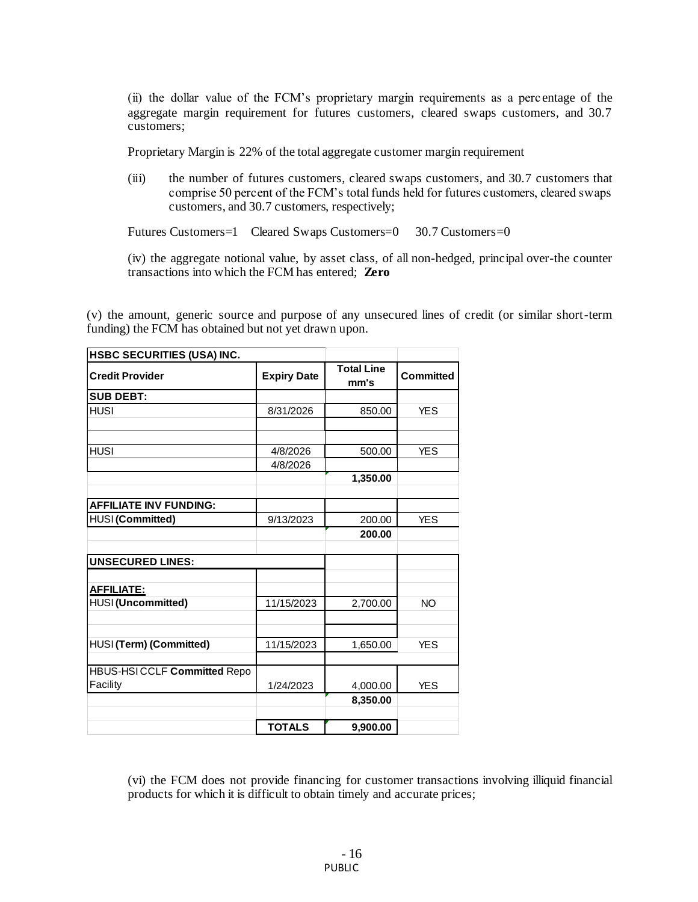(ii) the dollar value of the FCM's proprietary margin requirements as a perc entage of the aggregate margin requirement for futures customers, cleared swaps customers, and 30.7 customers;

Proprietary Margin is 22% of the total aggregate customer margin requirement

(iii) the number of futures customers, cleared swaps customers, and 30.7 customers that comprise 50 percent of the FCM's total funds held for futures customers, cleared swaps customers, and 30.7 customers, respectively;

Futures Customers=1 Cleared Swaps Customers=0 30.7 Customers=0

(iv) the aggregate notional value, by asset class, of all non-hedged, principal over-the counter transactions into which the FCM has entered; **Zero**

(v) the amount, generic source and purpose of any unsecured lines of credit (or similar short-term funding) the FCM has obtained but not yet drawn upon.

| <b>HSBC SECURITIES (USA) INC.</b>  |                    |                           |                  |
|------------------------------------|--------------------|---------------------------|------------------|
| <b>Credit Provider</b>             | <b>Expiry Date</b> | <b>Total Line</b><br>mm's | <b>Committed</b> |
| <b>SUB DEBT:</b>                   |                    |                           |                  |
| <b>HUSI</b>                        | 8/31/2026          | 850.00                    | <b>YES</b>       |
|                                    |                    |                           |                  |
|                                    |                    |                           |                  |
| <b>HUSI</b>                        | 4/8/2026           | 500.00                    | <b>YES</b>       |
|                                    | 4/8/2026           |                           |                  |
|                                    |                    | 1,350.00                  |                  |
|                                    |                    |                           |                  |
| <b>AFFILIATE INV FUNDING:</b>      |                    |                           |                  |
| HUSI (Committed)                   | 9/13/2023          | 200.00                    | <b>YES</b>       |
|                                    |                    | 200.00                    |                  |
|                                    |                    |                           |                  |
| <b>UNSECURED LINES:</b>            |                    |                           |                  |
|                                    |                    |                           |                  |
| <b>AFFILIATE:</b>                  |                    |                           |                  |
| HUSI (Uncommitted)                 | 11/15/2023         | 2,700.00                  | <b>NO</b>        |
|                                    |                    |                           |                  |
|                                    |                    |                           |                  |
| HUSI (Term) (Committed)            | 11/15/2023         | 1,650.00                  | <b>YES</b>       |
|                                    |                    |                           |                  |
| <b>HBUS-HSICCLF Committed Repo</b> |                    |                           |                  |
| Facility                           | 1/24/2023          | 4,000.00                  | <b>YES</b>       |
|                                    |                    | 8,350.00                  |                  |
|                                    |                    |                           |                  |
|                                    | <b>TOTALS</b>      | 9,900.00                  |                  |

(vi) the FCM does not provide financing for customer transactions involving illiquid financial products for which it is difficult to obtain timely and accurate prices;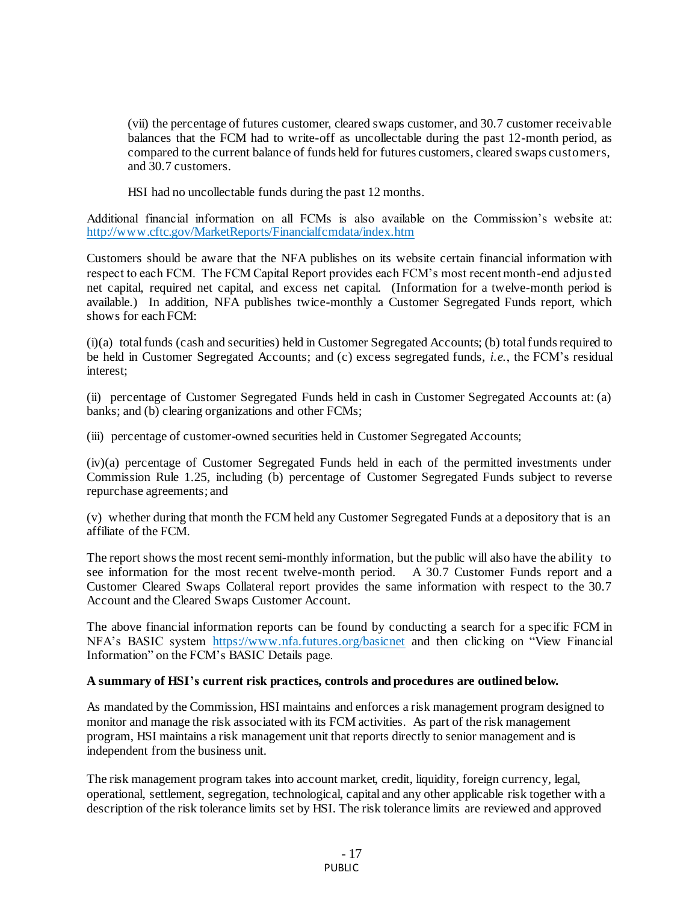(vii) the percentage of futures customer, cleared swaps customer, and 30.7 customer receivable balances that the FCM had to write-off as uncollectable during the past 12-month period, as compared to the current balance of funds held for futures customers, cleared swaps customers, and 30.7 customers.

HSI had no uncollectable funds during the past 12 months.

Additional financial information on all FCMs is also available on the Commission's website at: <http://www.cftc.gov/MarketReports/Financialfcmdata/index.htm>

Customers should be aware that the NFA publishes on its website certain financial information with respect to each FCM. The FCM Capital Report provides each FCM's most recent month-end adjusted net capital, required net capital, and excess net capital. (Information for a twelve-month period is available.) In addition, NFA publishes twice-monthly a Customer Segregated Funds report, which shows for each FCM:

(i)(a) total funds (cash and securities) held in Customer Segregated Accounts; (b) total funds required to be held in Customer Segregated Accounts; and (c) excess segregated funds, *i.e.*, the FCM's residual interest;

(ii) percentage of Customer Segregated Funds held in cash in Customer Segregated Accounts at: (a) banks; and (b) clearing organizations and other FCMs;

(iii) percentage of customer-owned securities held in Customer Segregated Accounts;

(iv)(a) percentage of Customer Segregated Funds held in each of the permitted investments under Commission Rule 1.25, including (b) percentage of Customer Segregated Funds subject to reverse repurchase agreements; and

(v) whether during that month the FCM held any Customer Segregated Funds at a depository that is an affiliate of the FCM.

The report shows the most recent semi-monthly information, but the public will also have the ability to see information for the most recent twelve-month period. A 30.7 Customer Funds report and a Customer Cleared Swaps Collateral report provides the same information with respect to the 30.7 Account and the Cleared Swaps Customer Account.

The above financial information reports can be found by conducting a search for a spec ific FCM in NFA's BASIC system [https://www.nfa.futures.org/basicne](https://www.nfa.futures.org/basicnet)t and then clicking on "View Financial Information" on the FCM's BASIC Details page.

#### **A summary of HSI's current risk practices, controls and procedures are outlined below.**

As mandated by the Commission, HSI maintains and enforces a risk management program designed to monitor and manage the risk associated with its FCM activities. As part of the risk management program, HSI maintains a risk management unit that reports directly to senior management and is independent from the business unit.

The risk management program takes into account market, credit, liquidity, foreign currency, legal, operational, settlement, segregation, technological, capital and any other applicable risk together with a description of the risk tolerance limits set by HSI. The risk tolerance limits are reviewed and approved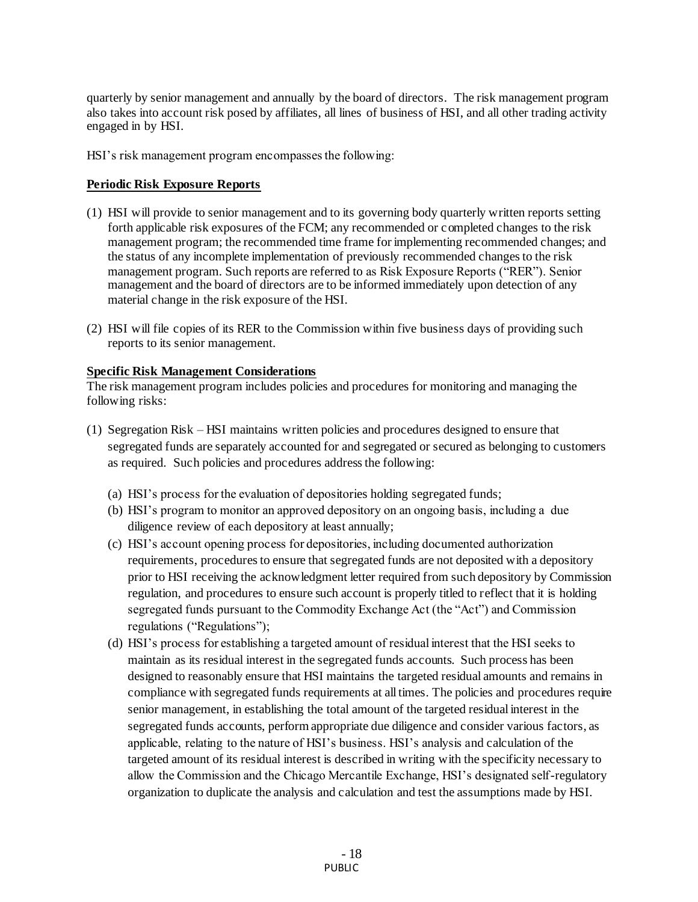quarterly by senior management and annually by the board of directors. The risk management program also takes into account risk posed by affiliates, all lines of business of HSI, and all other trading activity engaged in by HSI.

HSI's risk management program encompasses the following:

# **Periodic Risk Exposure Reports**

- (1) HSI will provide to senior management and to its governing body quarterly written reports setting forth applicable risk exposures of the FCM; any recommended or completed changes to the risk management program; the recommended time frame for implementing recommended changes; and the status of any incomplete implementation of previously recommended changes to the risk management program. Such reports are referred to as Risk Exposure Reports ("RER"). Senior management and the board of directors are to be informed immediately upon detection of any material change in the risk exposure of the HSI.
- (2) HSI will file copies of its RER to the Commission within five business days of providing such reports to its senior management.

## **Specific Risk Management Considerations**

The risk management program includes policies and procedures for monitoring and managing the following risks:

- (1) Segregation Risk HSI maintains written policies and procedures designed to ensure that segregated funds are separately accounted for and segregated or secured as belonging to customers as required. Such policies and procedures address the following:
	- (a) HSI's process for the evaluation of depositories holding segregated funds;
	- (b) HSI's program to monitor an approved depository on an ongoing basis, including a due diligence review of each depository at least annually;
	- (c) HSI's account opening process for depositories, including documented authorization requirements, procedures to ensure that segregated funds are not deposited with a depository prior to HSI receiving the acknowledgment letter required from such depository by Commission regulation, and procedures to ensure such account is properly titled to reflect that it is holding segregated funds pursuant to the Commodity Exchange Act (the "Act") and Commission regulations ("Regulations");
	- (d) HSI's process for establishing a targeted amount of residual interest that the HSI seeks to maintain as its residual interest in the segregated funds accounts. Such process has been designed to reasonably ensure that HSI maintains the targeted residual amounts and remains in compliance with segregated funds requirements at all times. The policies and procedures require senior management, in establishing the total amount of the targeted residual interest in the segregated funds accounts, perform appropriate due diligence and consider various factors, as applicable, relating to the nature of HSI's business. HSI's analysis and calculation of the targeted amount of its residual interest is described in writing with the specificity necessary to allow the Commission and the Chicago Mercantile Exchange, HSI's designated self-regulatory organization to duplicate the analysis and calculation and test the assumptions made by HSI.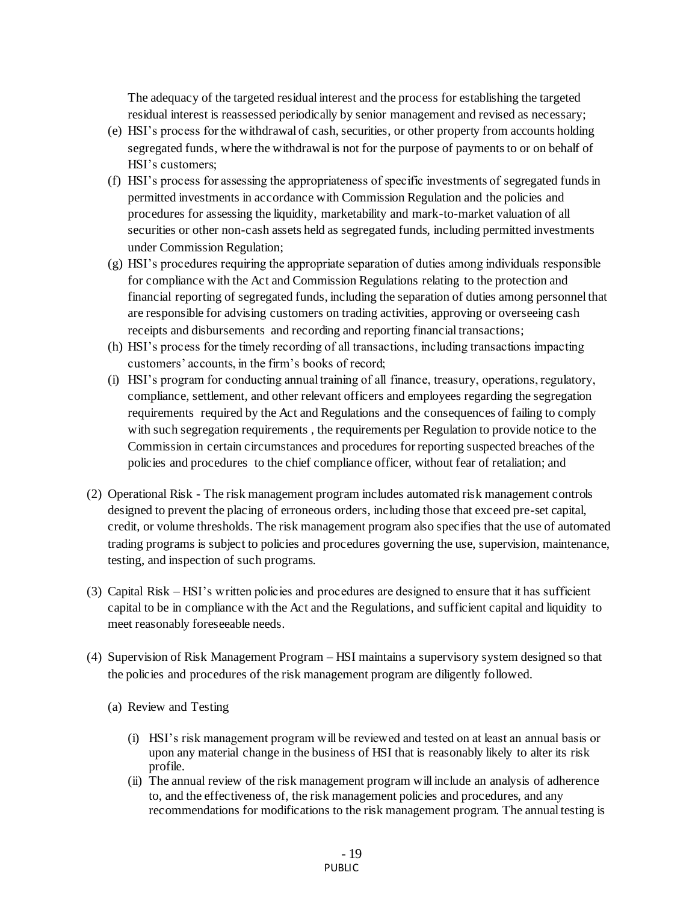The adequacy of the targeted residual interest and the process for establishing the targeted residual interest is reassessed periodically by senior management and revised as necessary;

- (e) HSI's process for the withdrawal of cash, securities, or other property from accounts holding segregated funds, where the withdrawal is not for the purpose of payments to or on behalf of HSI's customers;
- (f) HSI's process for assessing the appropriateness of specific investments of segregated funds in permitted investments in accordance with Commission Regulation and the policies and procedures for assessing the liquidity, marketability and mark-to-market valuation of all securities or other non-cash assets held as segregated funds, including permitted investments under Commission Regulation;
- (g) HSI's procedures requiring the appropriate separation of duties among individuals responsible for compliance with the Act and Commission Regulations relating to the protection and financial reporting of segregated funds, including the separation of duties among personnel that are responsible for advising customers on trading activities, approving or overseeing cash receipts and disbursements and recording and reporting financial transactions;
- (h) HSI's process for the timely recording of all transactions, including transactions impacting customers' accounts, in the firm's books of record;
- (i) HSI's program for conducting annual training of all finance, treasury, operations, regulatory, compliance, settlement, and other relevant officers and employees regarding the segregation requirements required by the Act and Regulations and the consequences of failing to comply with such segregation requirements , the requirements per Regulation to provide notice to the Commission in certain circumstances and procedures for reporting suspected breaches of the policies and procedures to the chief compliance officer, without fear of retaliation; and
- (2) Operational Risk The risk management program includes automated risk management controls designed to prevent the placing of erroneous orders, including those that exceed pre-set capital, credit, or volume thresholds. The risk management program also specifies that the use of automated trading programs is subject to policies and procedures governing the use, supervision, maintenance, testing, and inspection of such programs.
- (3) Capital Risk HSI's written policies and procedures are designed to ensure that it has sufficient capital to be in compliance with the Act and the Regulations, and sufficient capital and liquidity to meet reasonably foreseeable needs.
- (4) Supervision of Risk Management Program HSI maintains a supervisory system designed so that the policies and procedures of the risk management program are diligently followed.
	- (a) Review and Testing
		- (i) HSI's risk management program will be reviewed and tested on at least an annual basis or upon any material change in the business of HSI that is reasonably likely to alter its risk profile.
		- (ii) The annual review of the risk management program will include an analysis of adherence to, and the effectiveness of, the risk management policies and procedures, and any recommendations for modifications to the risk management program. The annual testing is